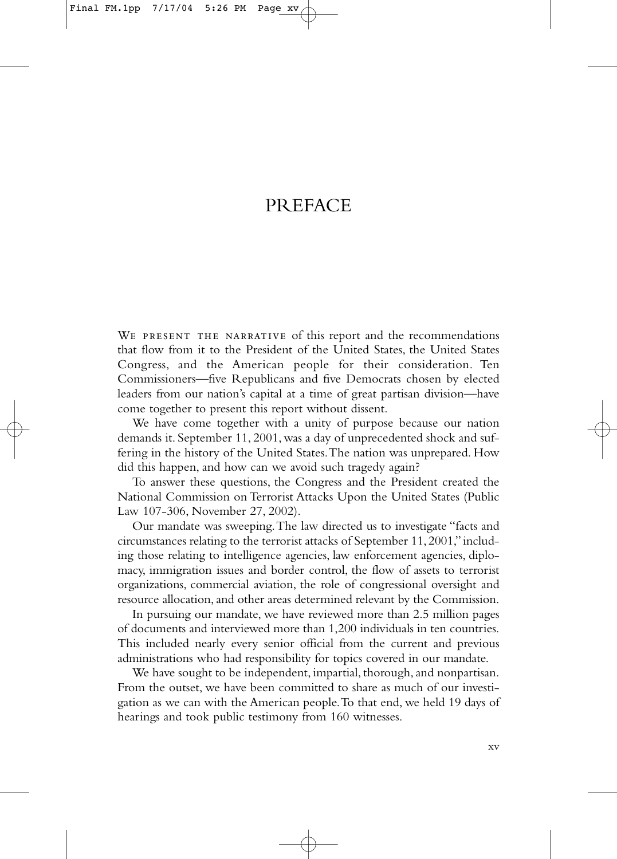## PREFACE

WE PRESENT THE NARRATIVE of this report and the recommendations that flow from it to the President of the United States, the United States Congress, and the American people for their consideration. Ten Commissioners—five Republicans and five Democrats chosen by elected leaders from our nation's capital at a time of great partisan division—have come together to present this report without dissent.

We have come together with a unity of purpose because our nation demands it. September 11, 2001, was a day of unprecedented shock and suffering in the history of the United States.The nation was unprepared. How did this happen, and how can we avoid such tragedy again?

To answer these questions, the Congress and the President created the National Commission on Terrorist Attacks Upon the United States (Public Law 107-306, November 27, 2002).

Our mandate was sweeping.The law directed us to investigate "facts and circumstances relating to the terrorist attacks of September 11,2001,"including those relating to intelligence agencies, law enforcement agencies, diplomacy, immigration issues and border control, the flow of assets to terrorist organizations, commercial aviation, the role of congressional oversight and resource allocation, and other areas determined relevant by the Commission.

In pursuing our mandate, we have reviewed more than 2.5 million pages of documents and interviewed more than 1,200 individuals in ten countries. This included nearly every senior official from the current and previous administrations who had responsibility for topics covered in our mandate.

We have sought to be independent, impartial, thorough, and nonpartisan. From the outset, we have been committed to share as much of our investigation as we can with the American people.To that end, we held 19 days of hearings and took public testimony from 160 witnesses.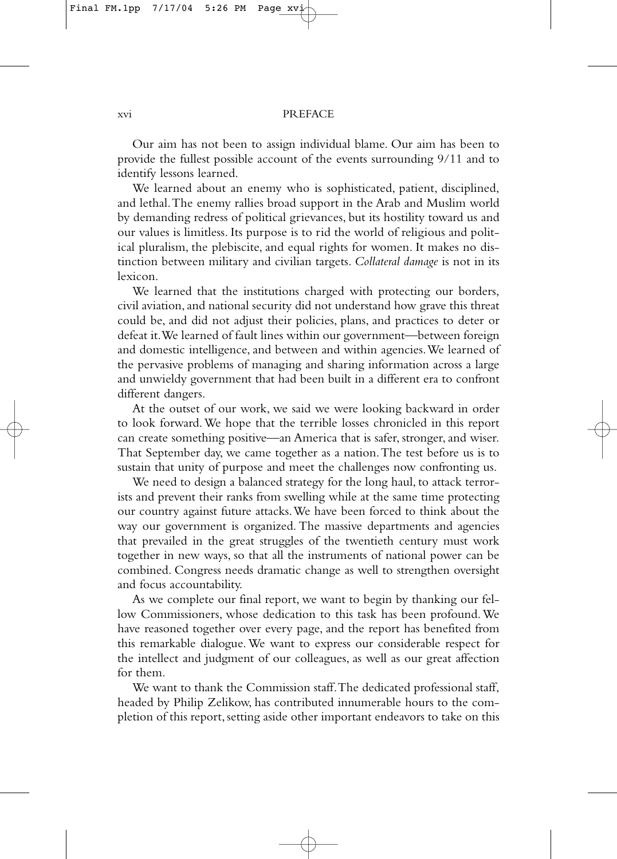## xvi PREFACE

Our aim has not been to assign individual blame. Our aim has been to provide the fullest possible account of the events surrounding 9/11 and to identify lessons learned.

We learned about an enemy who is sophisticated, patient, disciplined, and lethal.The enemy rallies broad support in the Arab and Muslim world by demanding redress of political grievances, but its hostility toward us and our values is limitless. Its purpose is to rid the world of religious and political pluralism, the plebiscite, and equal rights for women. It makes no distinction between military and civilian targets. *Collateral damage* is not in its lexicon.

We learned that the institutions charged with protecting our borders, civil aviation, and national security did not understand how grave this threat could be, and did not adjust their policies, plans, and practices to deter or defeat it.We learned of fault lines within our government—between foreign and domestic intelligence, and between and within agencies.We learned of the pervasive problems of managing and sharing information across a large and unwieldy government that had been built in a different era to confront different dangers.

At the outset of our work, we said we were looking backward in order to look forward.We hope that the terrible losses chronicled in this report can create something positive—an America that is safer, stronger, and wiser. That September day, we came together as a nation.The test before us is to sustain that unity of purpose and meet the challenges now confronting us.

We need to design a balanced strategy for the long haul, to attack terrorists and prevent their ranks from swelling while at the same time protecting our country against future attacks.We have been forced to think about the way our government is organized. The massive departments and agencies that prevailed in the great struggles of the twentieth century must work together in new ways, so that all the instruments of national power can be combined. Congress needs dramatic change as well to strengthen oversight and focus accountability.

As we complete our final report, we want to begin by thanking our fellow Commissioners, whose dedication to this task has been profound.We have reasoned together over every page, and the report has benefited from this remarkable dialogue. We want to express our considerable respect for the intellect and judgment of our colleagues, as well as our great affection for them.

We want to thank the Commission staff. The dedicated professional staff, headed by Philip Zelikow, has contributed innumerable hours to the completion of this report, setting aside other important endeavors to take on this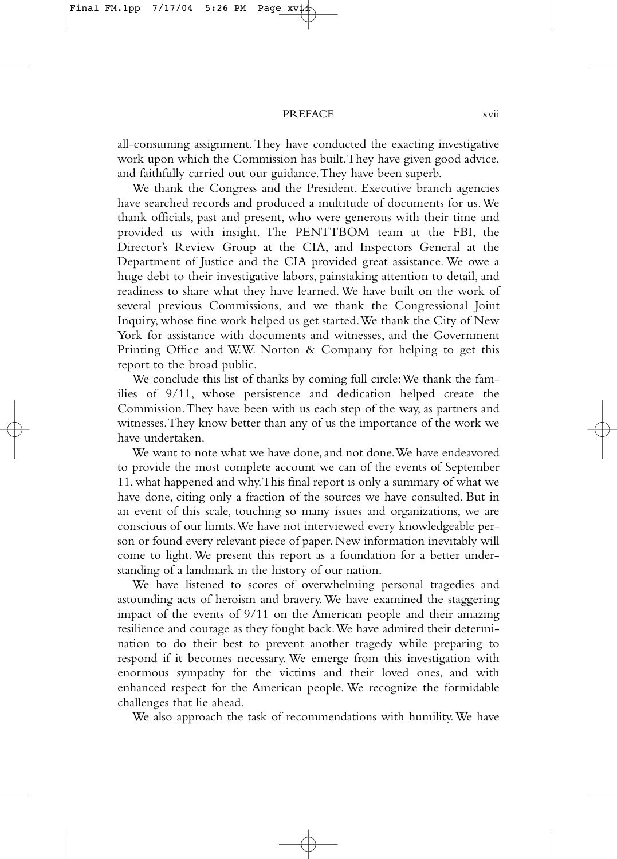## PREFACE xvii

all-consuming assignment.They have conducted the exacting investigative work upon which the Commission has built.They have given good advice, and faithfully carried out our guidance.They have been superb.

We thank the Congress and the President. Executive branch agencies have searched records and produced a multitude of documents for us.We thank officials, past and present, who were generous with their time and provided us with insight. The PENTTBOM team at the FBI, the Director's Review Group at the CIA, and Inspectors General at the Department of Justice and the CIA provided great assistance. We owe a huge debt to their investigative labors, painstaking attention to detail, and readiness to share what they have learned.We have built on the work of several previous Commissions, and we thank the Congressional Joint Inquiry, whose fine work helped us get started.We thank the City of New York for assistance with documents and witnesses, and the Government Printing Office and W.W. Norton & Company for helping to get this report to the broad public.

We conclude this list of thanks by coming full circle: We thank the families of 9/11, whose persistence and dedication helped create the Commission.They have been with us each step of the way, as partners and witnesses.They know better than any of us the importance of the work we have undertaken.

We want to note what we have done, and not done. We have endeavored to provide the most complete account we can of the events of September 11, what happened and why.This final report is only a summary of what we have done, citing only a fraction of the sources we have consulted. But in an event of this scale, touching so many issues and organizations, we are conscious of our limits.We have not interviewed every knowledgeable person or found every relevant piece of paper. New information inevitably will come to light. We present this report as a foundation for a better understanding of a landmark in the history of our nation.

We have listened to scores of overwhelming personal tragedies and astounding acts of heroism and bravery. We have examined the staggering impact of the events of 9/11 on the American people and their amazing resilience and courage as they fought back.We have admired their determination to do their best to prevent another tragedy while preparing to respond if it becomes necessary. We emerge from this investigation with enormous sympathy for the victims and their loved ones, and with enhanced respect for the American people. We recognize the formidable challenges that lie ahead.

We also approach the task of recommendations with humility.We have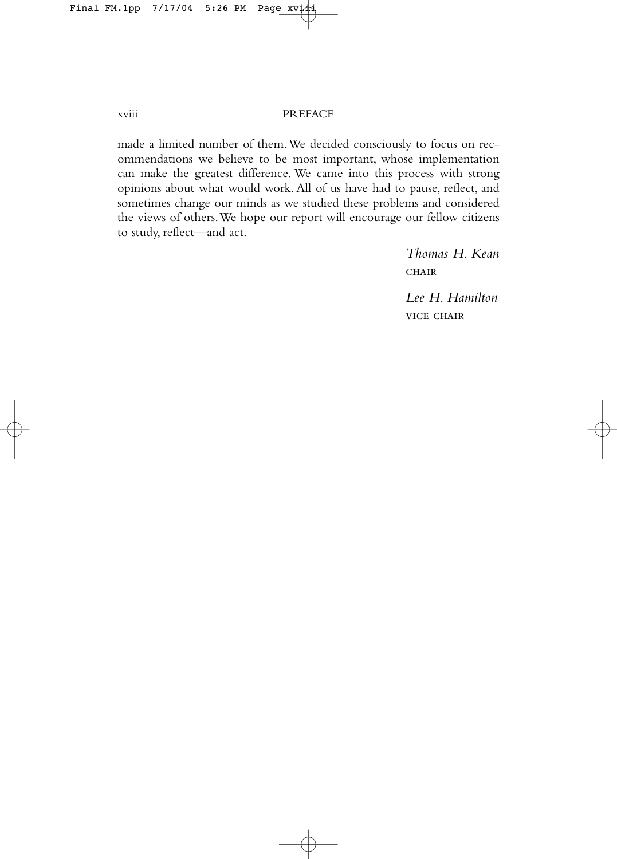made a limited number of them.We decided consciously to focus on recommendations we believe to be most important, whose implementation can make the greatest difference. We came into this process with strong opinions about what would work. All of us have had to pause, reflect, and sometimes change our minds as we studied these problems and considered the views of others.We hope our report will encourage our fellow citizens to study, reflect—and act.

> *Thomas H. Kean* **CHAIR** *Lee H. Hamilton* vice chair